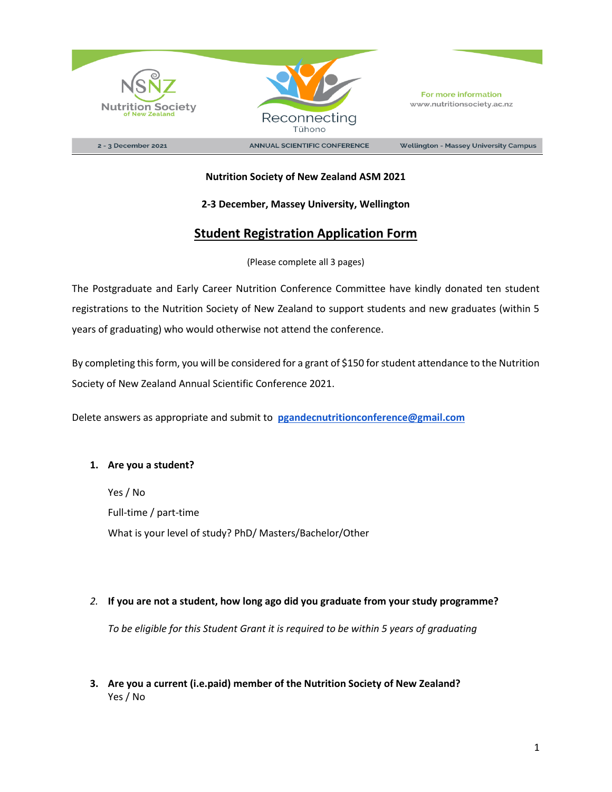



2 - 3 December 2021

**ANNUAL SCIENTIFIC CONFERENCE** 

**Wellington - Massey University Campus** 

### **Nutrition Society of New Zealand ASM 2021**

#### **2-3 December, Massey University, Wellington**

# **Student Registration Application Form**

#### (Please complete all 3 pages)

The Postgraduate and Early Career Nutrition Conference Committee have kindly donated ten student registrations to the Nutrition Society of New Zealand to support students and new graduates (within 5 years of graduating) who would otherwise not attend the conference.

By completing this form, you will be considered for a grant of \$150 for student attendance to the Nutrition Society of New Zealand Annual Scientific Conference 2021.

Delete answers as appropriate and submit to **[pgandecnutritionconference@gmail.com](mailto:pgandecnutritionconference@gmail.com)**

#### **1. Are you a student?**

Yes / No Full-time / part-time What is your level of study? PhD/ Masters/Bachelor/Other

#### *2.* **If you are not a student, how long ago did you graduate from your study programme?**

*To be eligible for this Student Grant it is required to be within 5 years of graduating* 

## **3. Are you a current (i.e.paid) member of the Nutrition Society of New Zealand?** Yes / No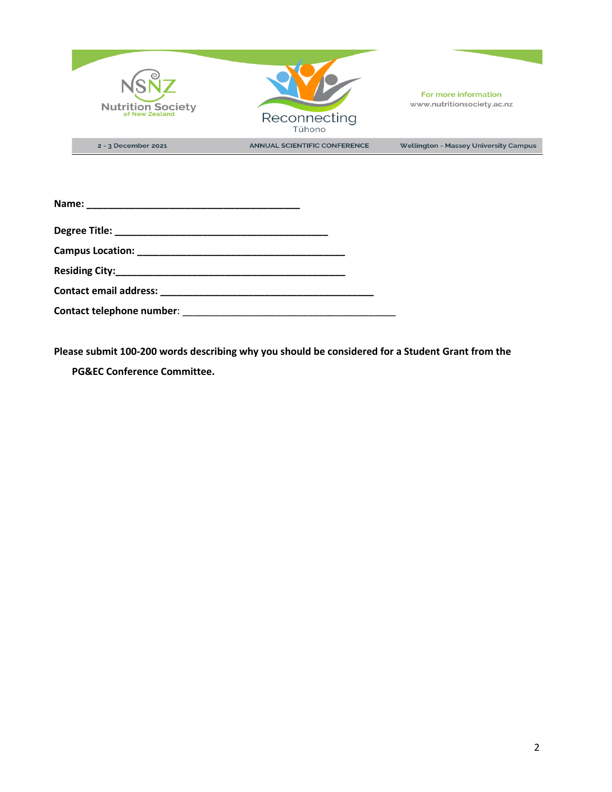

**Please submit 100-200 words describing why you should be considered for a Student Grant from the** 

**PG&EC Conference Committee.**